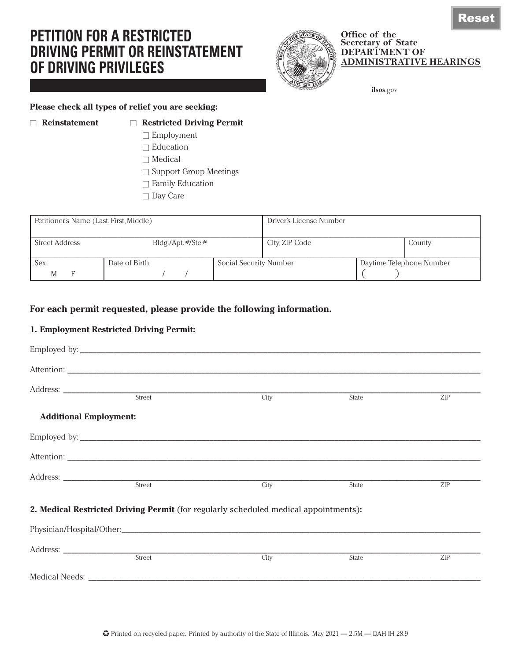# **PETITION FOR A RESTRICTED DRIVING PERMIT OR REINSTATEMENT OF DRIVING PRIVILEGES**



#### **Office of the Secretary of State DEPARTMENT OF ADMINISTRATIVE HEARINGS**

**ilsos**.gov

#### **Please check all types of relief you are seeking:**

#### ■ **Reinstatement** ■ **Restricted Driving Permit**

- □ Employment
- □ Education
- $\Box$  Medical
- □ Support Group Meetings
- $\Box$  Family Education
- □ Day Care

| Petitioner's Name (Last, First, Middle)             |               |                        | Driver's License Number |  |                          |
|-----------------------------------------------------|---------------|------------------------|-------------------------|--|--------------------------|
| <b>Street Address</b><br>$Bldg./\Delta pt.$ #/Ste.# |               |                        | City, ZIP Code          |  | County                   |
| Sex:                                                | Date of Birth | Social Security Number |                         |  | Daytime Telephone Number |

## **For each permit requested, please provide the following information.**

### **1. Employment Restricted Driving Permit:**

|                               | Street                                                                               |      | State | ZIP        |
|-------------------------------|--------------------------------------------------------------------------------------|------|-------|------------|
|                               |                                                                                      | City |       |            |
| <b>Additional Employment:</b> |                                                                                      |      |       |            |
|                               |                                                                                      |      |       |            |
|                               |                                                                                      |      |       |            |
|                               |                                                                                      |      |       |            |
|                               | Street                                                                               | City | State | <b>ZIP</b> |
|                               | 2. Medical Restricted Driving Permit (for regularly scheduled medical appointments): |      |       |            |
|                               |                                                                                      |      |       |            |
|                               |                                                                                      |      |       |            |
|                               | Street                                                                               | City | State | ZIP        |
|                               |                                                                                      |      |       |            |